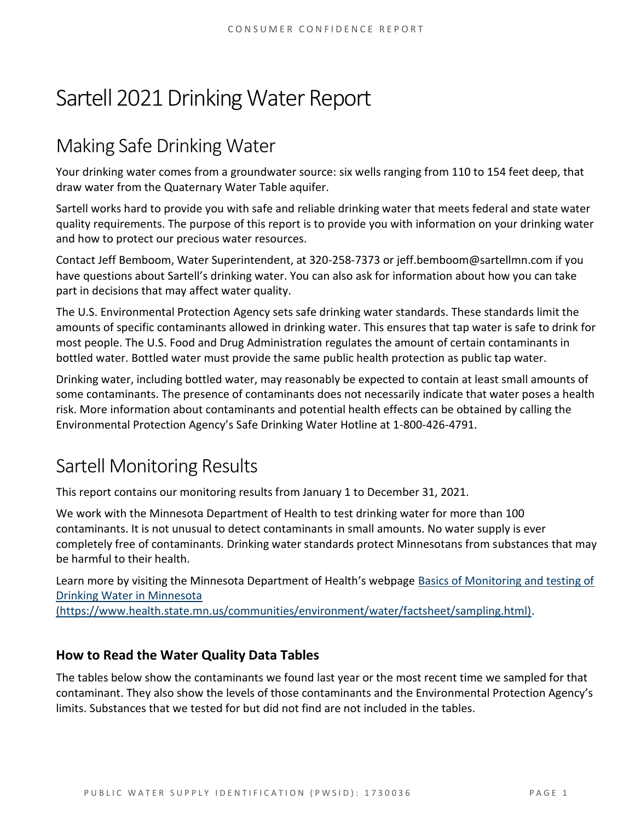# Sartell 2021 Drinking Water Report

# Making Safe Drinking Water

Your drinking water comes from a groundwater source: six wells ranging from 110 to 154 feet deep, that draw water from the Quaternary Water Table aquifer.

Sartell works hard to provide you with safe and reliable drinking water that meets federal and state water quality requirements. The purpose of this report is to provide you with information on your drinking water and how to protect our precious water resources.

Contact Jeff Bemboom, Water Superintendent, at 320-258-7373 or jeff.bemboom@sartellmn.com if you have questions about Sartell's drinking water. You can also ask for information about how you can take part in decisions that may affect water quality.

The U.S. Environmental Protection Agency sets safe drinking water standards. These standards limit the amounts of specific contaminants allowed in drinking water. This ensures that tap water is safe to drink for most people. The U.S. Food and Drug Administration regulates the amount of certain contaminants in bottled water. Bottled water must provide the same public health protection as public tap water.

Drinking water, including bottled water, may reasonably be expected to contain at least small amounts of some contaminants. The presence of contaminants does not necessarily indicate that water poses a health risk. More information about contaminants and potential health effects can be obtained by calling the Environmental Protection Agency's Safe Drinking Water Hotline at 1-800-426-4791.

# Sartell Monitoring Results

This report contains our monitoring results from January 1 to December 31, 2021.

We work with the Minnesota Department of Health to test drinking water for more than 100 contaminants. It is not unusual to detect contaminants in small amounts. No water supply is ever completely free of contaminants. Drinking water standards protect Minnesotans from substances that may be harmful to their health.

Learn more by visiting the Minnesota Department of Health's webpage [Basics of Monitoring and testing of](https://www.health.state.mn.us/communities/environment/water/factsheet/sampling.html)  [Drinking Water in Minnesota](https://www.health.state.mn.us/communities/environment/water/factsheet/sampling.html) 

[\(https://www.health.state.mn.us/communities/environment/water/factsheet/sampling.html\).](https://www.health.state.mn.us/communities/environment/water/factsheet/sampling.html)

## **How to Read the Water Quality Data Tables**

The tables below show the contaminants we found last year or the most recent time we sampled for that contaminant. They also show the levels of those contaminants and the Environmental Protection Agency's limits. Substances that we tested for but did not find are not included in the tables.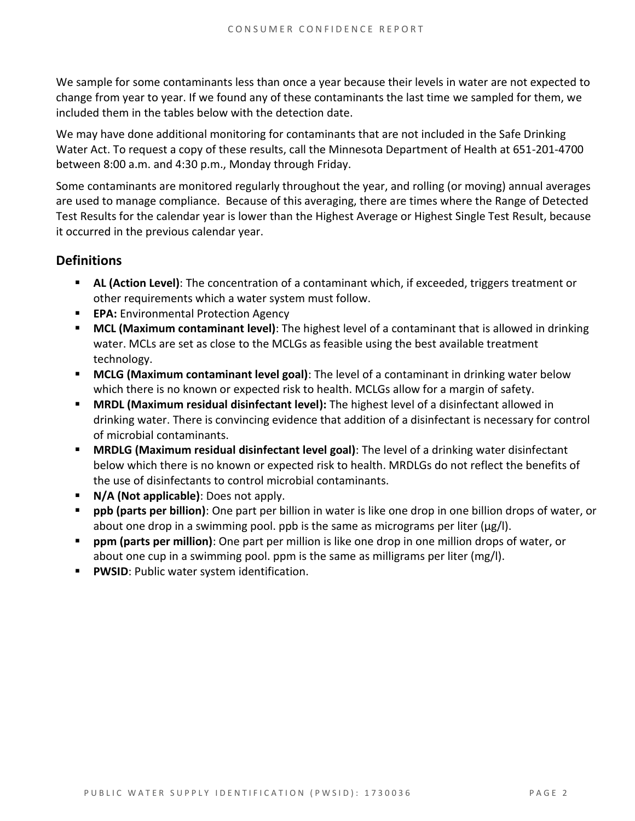We sample for some contaminants less than once a year because their levels in water are not expected to change from year to year. If we found any of these contaminants the last time we sampled for them, we included them in the tables below with the detection date.

We may have done additional monitoring for contaminants that are not included in the Safe Drinking Water Act. To request a copy of these results, call the Minnesota Department of Health at 651-201-4700 between 8:00 a.m. and 4:30 p.m., Monday through Friday.

Some contaminants are monitored regularly throughout the year, and rolling (or moving) annual averages are used to manage compliance. Because of this averaging, there are times where the Range of Detected Test Results for the calendar year is lower than the Highest Average or Highest Single Test Result, because it occurred in the previous calendar year.

### **Definitions**

- AL (Action Level): The concentration of a contaminant which, if exceeded, triggers treatment or other requirements which a water system must follow.
- **EPA:** Environmental Protection Agency
- **MCL (Maximum contaminant level)**: The highest level of a contaminant that is allowed in drinking water. MCLs are set as close to the MCLGs as feasible using the best available treatment technology.
- **MCLG (Maximum contaminant level goal)**: The level of a contaminant in drinking water below which there is no known or expected risk to health. MCLGs allow for a margin of safety.
- **MRDL (Maximum residual disinfectant level):** The highest level of a disinfectant allowed in drinking water. There is convincing evidence that addition of a disinfectant is necessary for control of microbial contaminants.
- **MRDLG (Maximum residual disinfectant level goal)**: The level of a drinking water disinfectant below which there is no known or expected risk to health. MRDLGs do not reflect the benefits of the use of disinfectants to control microbial contaminants.
- **N/A (Not applicable)**: Does not apply.
- **ppb (parts per billion)**: One part per billion in water is like one drop in one billion drops of water, or about one drop in a swimming pool. ppb is the same as micrograms per liter ( $\mu$ g/l).
- **ppm (parts per million)**: One part per million is like one drop in one million drops of water, or about one cup in a swimming pool. ppm is the same as milligrams per liter (mg/l).
- **PWSID: Public water system identification.**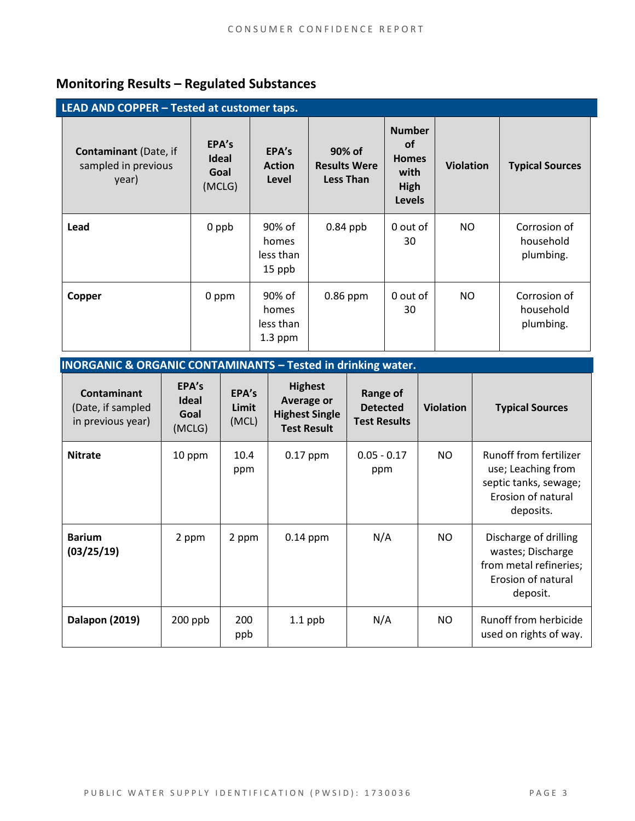# **Monitoring Results – Regulated Substances**

| LEAD AND COPPER - Tested at customer taps.                   |                                         |                                           |                                                   |                                                                             |                  |                                        |  |  |
|--------------------------------------------------------------|-----------------------------------------|-------------------------------------------|---------------------------------------------------|-----------------------------------------------------------------------------|------------------|----------------------------------------|--|--|
| <b>Contaminant</b> (Date, if<br>sampled in previous<br>year) | EPA's<br><b>Ideal</b><br>Goal<br>(MCLG) | EPA's<br><b>Action</b><br>Level           | 90% of<br><b>Results Were</b><br><b>Less Than</b> | <b>Number</b><br><b>of</b><br><b>Homes</b><br>with<br>High<br><b>Levels</b> | <b>Violation</b> | <b>Typical Sources</b>                 |  |  |
| Lead                                                         | 0 ppb                                   | 90% of<br>homes<br>less than<br>15 ppb    | $0.84$ ppb                                        | 0 out of<br>30                                                              | NO.              | Corrosion of<br>household<br>plumbing. |  |  |
| Copper                                                       | 0 ppm                                   | 90% of<br>homes<br>less than<br>$1.3$ ppm | 0.86 ppm                                          | 0 out of<br>30                                                              | <b>NO</b>        | Corrosion of<br>household<br>plumbing. |  |  |

| INORGANIC & ORGANIC CONTAMINANTS - Tested in drinking water. |  |  |  |
|--------------------------------------------------------------|--|--|--|
|                                                              |  |  |  |

| <b>Contaminant</b><br>(Date, if sampled<br>in previous year) | EPA's<br><b>Ideal</b><br>Goal<br>(MCLG) | EPA's<br>Limit<br>(MCL) | <b>Highest</b><br><b>Average or</b><br><b>Highest Single</b><br><b>Test Result</b> | <b>Range of</b><br><b>Detected</b><br><b>Test Results</b> | <b>Violation</b> | <b>Typical Sources</b>                                                                                          |
|--------------------------------------------------------------|-----------------------------------------|-------------------------|------------------------------------------------------------------------------------|-----------------------------------------------------------|------------------|-----------------------------------------------------------------------------------------------------------------|
| <b>Nitrate</b>                                               | 10 ppm                                  | 10.4<br>ppm             | $0.17$ ppm                                                                         | $0.05 - 0.17$<br>ppm                                      | NO.              | <b>Runoff from fertilizer</b><br>use; Leaching from<br>septic tanks, sewage;<br>Erosion of natural<br>deposits. |
| <b>Barium</b><br>(03/25/19)                                  | 2 ppm                                   | 2 ppm                   | $0.14$ ppm                                                                         | N/A                                                       | NO.              | Discharge of drilling<br>wastes; Discharge<br>from metal refineries;<br>Erosion of natural<br>deposit.          |
| Dalapon (2019)                                               | $200$ ppb                               | 200<br>ppb              | $1.1$ ppb                                                                          | N/A                                                       | NO.              | Runoff from herbicide<br>used on rights of way.                                                                 |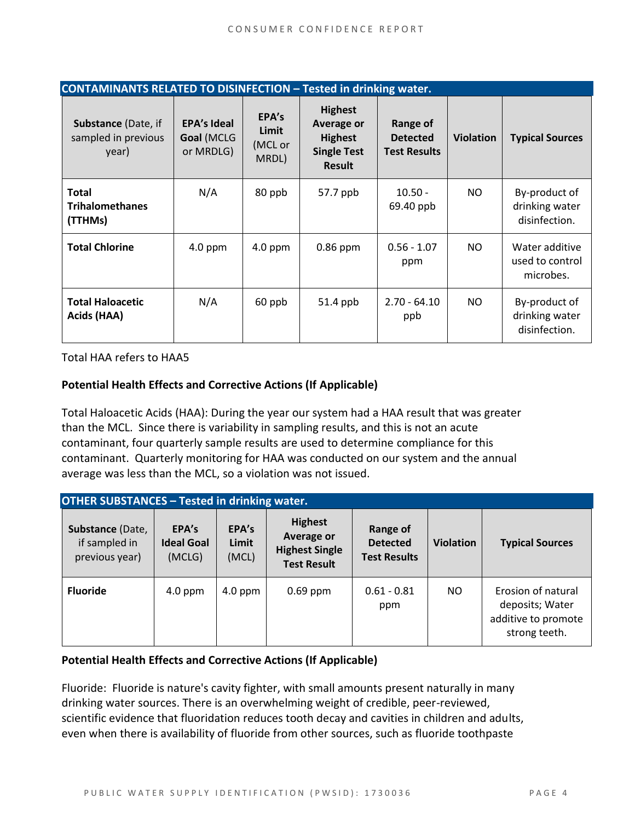| <b>CONTAMINANTS RELATED TO DISINFECTION - Tested in drinking water.</b> |                                               |                                    |                                                                                              |                                                    |                  |                                                  |  |  |
|-------------------------------------------------------------------------|-----------------------------------------------|------------------------------------|----------------------------------------------------------------------------------------------|----------------------------------------------------|------------------|--------------------------------------------------|--|--|
| <b>Substance (Date, if</b><br>sampled in previous<br>year)              | <b>EPA's Ideal</b><br>Goal (MCLG<br>or MRDLG) | EPA's<br>Limit<br>(MCL or<br>MRDL) | <b>Highest</b><br><b>Average or</b><br><b>Highest</b><br><b>Single Test</b><br><b>Result</b> | Range of<br><b>Detected</b><br><b>Test Results</b> | <b>Violation</b> | <b>Typical Sources</b>                           |  |  |
| <b>Total</b><br><b>Trihalomethanes</b><br>(TTHMs)                       | N/A                                           | 80 ppb                             | 57.7 ppb                                                                                     | $10.50 -$<br>69.40 ppb                             | NO.              | By-product of<br>drinking water<br>disinfection. |  |  |
| <b>Total Chlorine</b>                                                   | $4.0$ ppm                                     | $4.0$ ppm                          | $0.86$ ppm                                                                                   | $0.56 - 1.07$<br>ppm                               | NO.              | Water additive<br>used to control<br>microbes.   |  |  |
| <b>Total Haloacetic</b><br>Acids (HAA)                                  | N/A                                           | 60 ppb                             | 51.4 ppb                                                                                     | $2.70 - 64.10$<br>ppb                              | NO.              | By-product of<br>drinking water<br>disinfection. |  |  |

Total HAA refers to HAA5

#### **Potential Health Effects and Corrective Actions (If Applicable)**

Total Haloacetic Acids (HAA): During the year our system had a HAA result that was greater than the MCL. Since there is variability in sampling results, and this is not an acute contaminant, four quarterly sample results are used to determine compliance for this contaminant. Quarterly monitoring for HAA was conducted on our system and the annual average was less than the MCL, so a violation was not issued.

| <b>OTHER SUBSTANCES - Tested in drinking water.</b> |                                      |                         |                                                                             |                                                    |                  |                                                                               |  |  |
|-----------------------------------------------------|--------------------------------------|-------------------------|-----------------------------------------------------------------------------|----------------------------------------------------|------------------|-------------------------------------------------------------------------------|--|--|
| Substance (Date,<br>if sampled in<br>previous year) | EPA's<br><b>Ideal Goal</b><br>(MCLG) | EPA's<br>Limit<br>(MCL) | <b>Highest</b><br>Average or<br><b>Highest Single</b><br><b>Test Result</b> | Range of<br><b>Detected</b><br><b>Test Results</b> | <b>Violation</b> | <b>Typical Sources</b>                                                        |  |  |
| <b>Fluoride</b>                                     | $4.0$ ppm                            | $4.0$ ppm               | $0.69$ ppm                                                                  | $0.61 - 0.81$<br>ppm                               | NO.              | Erosion of natural<br>deposits; Water<br>additive to promote<br>strong teeth. |  |  |

#### **Potential Health Effects and Corrective Actions (If Applicable)**

Fluoride: Fluoride is nature's cavity fighter, with small amounts present naturally in many drinking water sources. There is an overwhelming weight of credible, peer-reviewed, scientific evidence that fluoridation reduces tooth decay and cavities in children and adults, even when there is availability of fluoride from other sources, such as fluoride toothpaste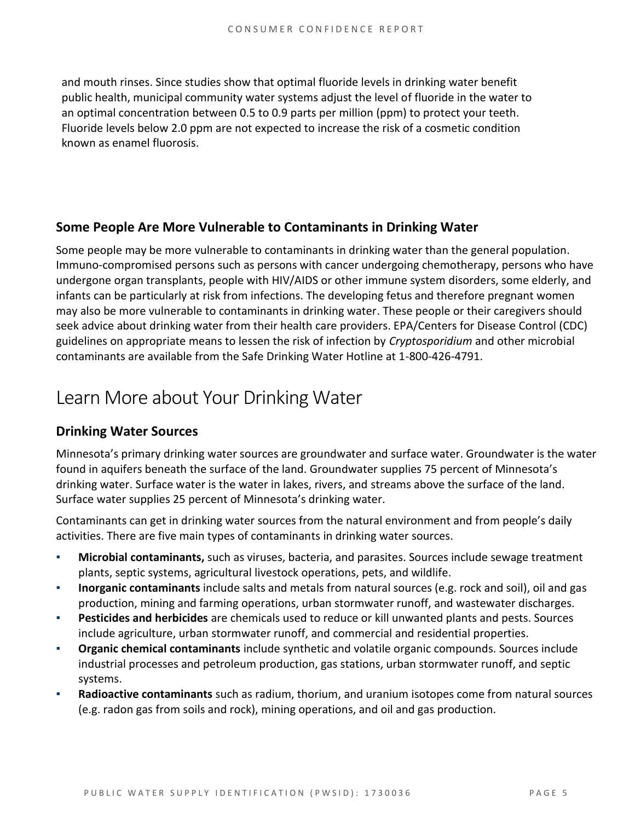and mouth rinses. Since studies show that optimal fluoride levels in drinking water benefit public health, municipal community water systems adjust the level of fluoride in the water to an optimal concentration between 0.5 to 0.9 parts per million (ppm) to protect your teeth. Fluoride levels below 2.0 ppm are not expected to increase the risk of a cosmetic condition known as enamel fluorosis.

### **Some People Are More Vulnerable to Contaminants in Drinking Water**

Some people may be more vulnerable to contaminants in drinking water than the general population. Immuno-compromised persons such as persons with cancer undergoing chemotherapy, persons who have undergone organ transplants, people with HIV/AIDS or other immune system disorders, some elderly, and infants can be particularly at risk from infections. The developing fetus and therefore pregnant women may also be more vulnerable to contaminants in drinking water. These people or their caregivers should seek advice about drinking water from their health care providers. EPA/Centers for Disease Control (CDC) guidelines on appropriate means to lessen the risk of infection by *Cryptosporidium* and other microbial contaminants are available from the Safe Drinking Water Hotline at 1-800-426-4791.

# Learn More about Your Drinking Water

## **Drinking Water Sources**

Minnesota's primary drinking water sources are groundwater and surface water. Groundwater is the water found in aquifers beneath the surface of the land. Groundwater supplies 75 percent of Minnesota's drinking water. Surface water is the water in lakes, rivers, and streams above the surface of the land. Surface water supplies 25 percent of Minnesota's drinking water.

Contaminants can get in drinking water sources from the natural environment and from people's daily activities. There are five main types of contaminants in drinking water sources.

- **Microbial contaminants,** such as viruses, bacteria, and parasites. Sources include sewage treatment plants, septic systems, agricultural livestock operations, pets, and wildlife.
- **Inorganic contaminants** include salts and metals from natural sources (e.g. rock and soil), oil and gas production, mining and farming operations, urban stormwater runoff, and wastewater discharges.
- **Pesticides and herbicides** are chemicals used to reduce or kill unwanted plants and pests. Sources include agriculture, urban stormwater runoff, and commercial and residential properties.
- **Organic chemical contaminants** include synthetic and volatile organic compounds. Sources include industrial processes and petroleum production, gas stations, urban stormwater runoff, and septic systems.
- Radioactive contaminants such as radium, thorium, and uranium isotopes come from natural sources (e.g. radon gas from soils and rock), mining operations, and oil and gas production.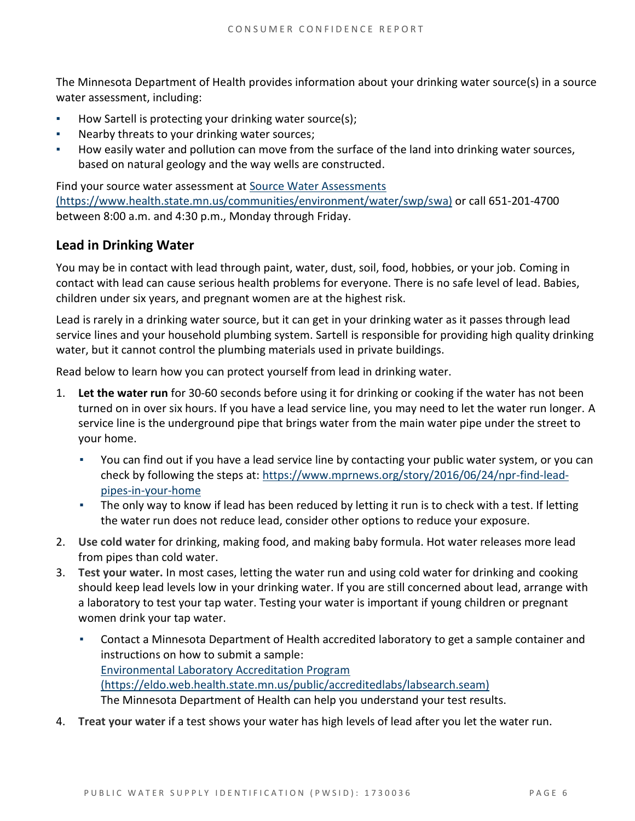The Minnesota Department of Health provides information about your drinking water source(s) in a source water assessment, including:

- How Sartell is protecting your drinking water source(s);
- Nearby threats to your drinking water sources;
- How easily water and pollution can move from the surface of the land into drinking water sources, based on natural geology and the way wells are constructed.

Find your source water assessment at [Source Water Assessments](https://www.health.state.mn.us/communities/environment/water/swp/swa)  [\(https://www.health.state.mn.us/communities/environment/water/swp/swa\)](https://www.health.state.mn.us/communities/environment/water/swp/swa) or call 651-201-4700 between 8:00 a.m. and 4:30 p.m., Monday through Friday.

### **Lead in Drinking Water**

You may be in contact with lead through paint, water, dust, soil, food, hobbies, or your job. Coming in contact with lead can cause serious health problems for everyone. There is no safe level of lead. Babies, children under six years, and pregnant women are at the highest risk.

Lead is rarely in a drinking water source, but it can get in your drinking water as it passes through lead service lines and your household plumbing system. Sartell is responsible for providing high quality drinking water, but it cannot control the plumbing materials used in private buildings.

Read below to learn how you can protect yourself from lead in drinking water.

- 1. **Let the water run** for 30-60 seconds before using it for drinking or cooking if the water has not been turned on in over six hours. If you have a lead service line, you may need to let the water run longer. A service line is the underground pipe that brings water from the main water pipe under the street to your home.
	- You can find out if you have a lead service line by contacting your public water system, or you can check by following the steps at: [https://www.mprnews.org/story/2016/06/24/npr-find-lead](https://www.mprnews.org/story/2016/06/24/npr-find-lead-pipes-in-your-home)[pipes-in-your-home](https://www.mprnews.org/story/2016/06/24/npr-find-lead-pipes-in-your-home)
	- The only way to know if lead has been reduced by letting it run is to check with a test. If letting the water run does not reduce lead, consider other options to reduce your exposure.
- 2. **Use cold water** for drinking, making food, and making baby formula. Hot water releases more lead from pipes than cold water.
- 3. **Test your water.** In most cases, letting the water run and using cold water for drinking and cooking should keep lead levels low in your drinking water. If you are still concerned about lead, arrange with a laboratory to test your tap water. Testing your water is important if young children or pregnant women drink your tap water.
	- Contact a Minnesota Department of Health accredited laboratory to get a sample container and instructions on how to submit a sample: [Environmental Laboratory Accreditation Program](https://eldo.web.health.state.mn.us/public/accreditedlabs/labsearch.seam)  [\(https://eldo.web.health.state.mn.us/public/accreditedlabs/labsearch.seam\)](https://eldo.web.health.state.mn.us/public/accreditedlabs/labsearch.seam) The Minnesota Department of Health can help you understand your test results.
- 4. **Treat your water** if a test shows your water has high levels of lead after you let the water run.